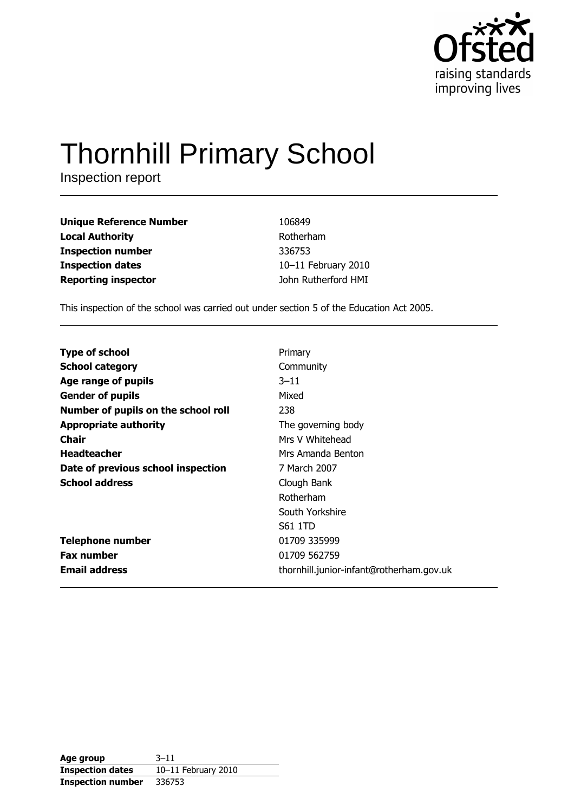

# **Thornhill Primary School**

Inspection report

| <b>Unique Reference Number</b> | 106849              |
|--------------------------------|---------------------|
| <b>Local Authority</b>         | Rotherham           |
| <b>Inspection number</b>       | 336753              |
| <b>Inspection dates</b>        | 10-11 February 2010 |
| <b>Reporting inspector</b>     | John Rutherford HMI |

This inspection of the school was carried out under section 5 of the Education Act 2005.

| <b>Type of school</b>               | Primary                                  |
|-------------------------------------|------------------------------------------|
| <b>School category</b>              | Community                                |
| Age range of pupils                 | $3 - 11$                                 |
| <b>Gender of pupils</b>             | Mixed                                    |
| Number of pupils on the school roll | 238                                      |
| <b>Appropriate authority</b>        | The governing body                       |
| Chair                               | Mrs V Whitehead                          |
| <b>Headteacher</b>                  | Mrs Amanda Benton                        |
| Date of previous school inspection  | 7 March 2007                             |
| <b>School address</b>               | Clough Bank                              |
|                                     | Rotherham                                |
|                                     | South Yorkshire                          |
|                                     | S61 1TD                                  |
| <b>Telephone number</b>             | 01709 335999                             |
| <b>Fax number</b>                   | 01709 562759                             |
| <b>Email address</b>                | thornhill.junior-infant@rotherham.gov.uk |

| Age group                | $3 - 11$            |
|--------------------------|---------------------|
| <b>Inspection dates</b>  | 10-11 February 2010 |
| <b>Inspection number</b> | 336753              |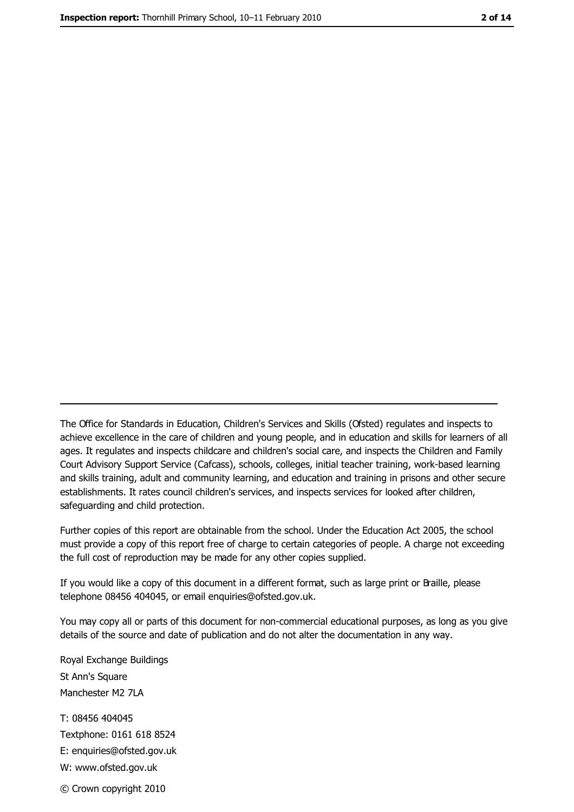The Office for Standards in Education, Children's Services and Skills (Ofsted) regulates and inspects to achieve excellence in the care of children and young people, and in education and skills for learners of all ages. It regulates and inspects childcare and children's social care, and inspects the Children and Family Court Advisory Support Service (Cafcass), schools, colleges, initial teacher training, work-based learning and skills training, adult and community learning, and education and training in prisons and other secure establishments. It rates council children's services, and inspects services for looked after children, safeguarding and child protection.

Further copies of this report are obtainable from the school. Under the Education Act 2005, the school must provide a copy of this report free of charge to certain categories of people. A charge not exceeding the full cost of reproduction may be made for any other copies supplied.

If you would like a copy of this document in a different format, such as large print or Braille, please telephone 08456 404045, or email enquiries@ofsted.gov.uk.

You may copy all or parts of this document for non-commercial educational purposes, as long as you give details of the source and date of publication and do not alter the documentation in any way.

Royal Exchange Buildings St Ann's Square Manchester M2 7LA T: 08456 404045 Textphone: 0161 618 8524 E: enquiries@ofsted.gov.uk W: www.ofsted.gov.uk © Crown copyright 2010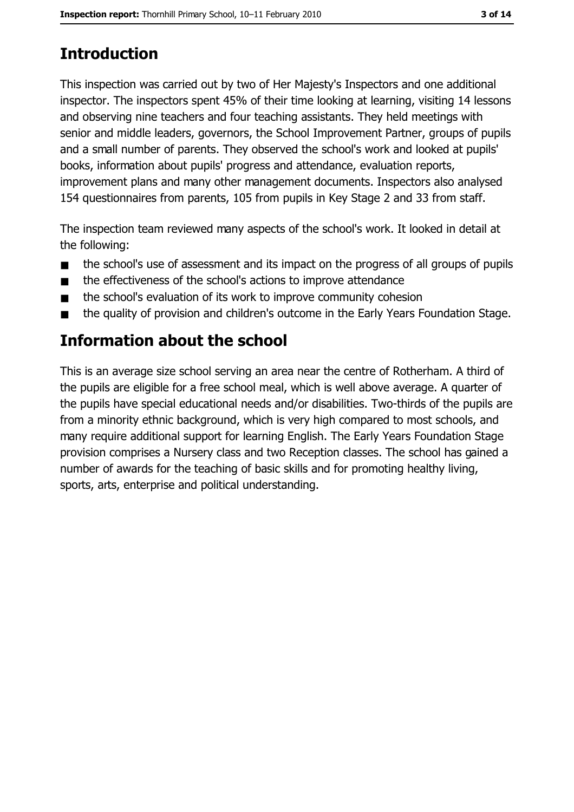# **Introduction**

This inspection was carried out by two of Her Majesty's Inspectors and one additional inspector. The inspectors spent 45% of their time looking at learning, visiting 14 lessons and observing nine teachers and four teaching assistants. They held meetings with senior and middle leaders, governors, the School Improvement Partner, groups of pupils and a small number of parents. They observed the school's work and looked at pupils' books, information about pupils' progress and attendance, evaluation reports, improvement plans and many other management documents. Inspectors also analysed 154 questionnaires from parents, 105 from pupils in Key Stage 2 and 33 from staff.

The inspection team reviewed many aspects of the school's work. It looked in detail at the following:

- the school's use of assessment and its impact on the progress of all groups of pupils  $\blacksquare$
- the effectiveness of the school's actions to improve attendance  $\blacksquare$
- the school's evaluation of its work to improve community cohesion  $\blacksquare$
- the quality of provision and children's outcome in the Early Years Foundation Stage.  $\blacksquare$

## Information about the school

This is an average size school serving an area near the centre of Rotherham. A third of the pupils are eligible for a free school meal, which is well above average. A quarter of the pupils have special educational needs and/or disabilities. Two-thirds of the pupils are from a minority ethnic background, which is very high compared to most schools, and many require additional support for learning English. The Early Years Foundation Stage provision comprises a Nursery class and two Reception classes. The school has gained a number of awards for the teaching of basic skills and for promoting healthy living, sports, arts, enterprise and political understanding.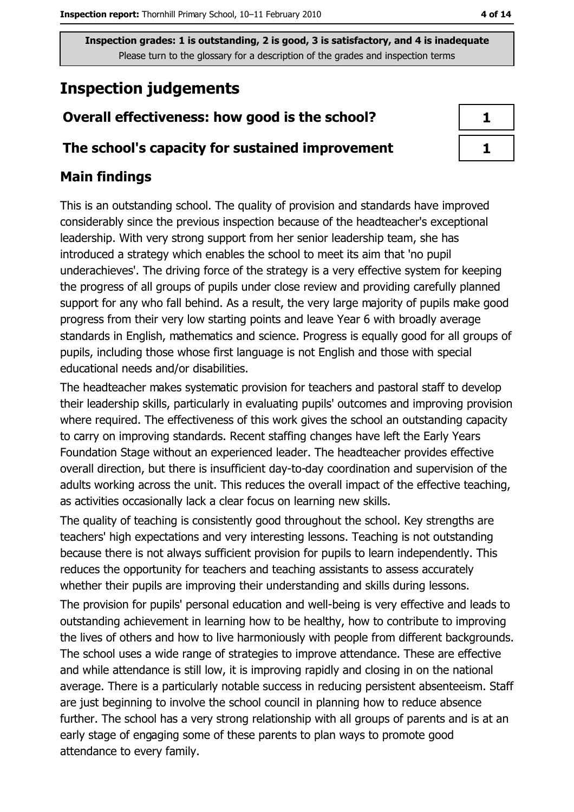## **Inspection judgements**

## Overall effectiveness: how good is the school?

#### The school's capacity for sustained improvement

### **Main findings**

This is an outstanding school. The quality of provision and standards have improved considerably since the previous inspection because of the headteacher's exceptional leadership. With very strong support from her senior leadership team, she has introduced a strategy which enables the school to meet its aim that 'no pupil underachieves'. The driving force of the strategy is a very effective system for keeping the progress of all groups of pupils under close review and providing carefully planned support for any who fall behind. As a result, the very large majority of pupils make good progress from their very low starting points and leave Year 6 with broadly average standards in English, mathematics and science. Progress is equally good for all groups of pupils, including those whose first language is not English and those with special educational needs and/or disabilities.

The headteacher makes systematic provision for teachers and pastoral staff to develop their leadership skills, particularly in evaluating pupils' outcomes and improving provision where required. The effectiveness of this work gives the school an outstanding capacity to carry on improving standards. Recent staffing changes have left the Early Years Foundation Stage without an experienced leader. The headteacher provides effective overall direction, but there is insufficient day-to-day coordination and supervision of the adults working across the unit. This reduces the overall impact of the effective teaching, as activities occasionally lack a clear focus on learning new skills.

The quality of teaching is consistently good throughout the school. Key strengths are teachers' high expectations and very interesting lessons. Teaching is not outstanding because there is not always sufficient provision for pupils to learn independently. This reduces the opportunity for teachers and teaching assistants to assess accurately whether their pupils are improving their understanding and skills during lessons.

The provision for pupils' personal education and well-being is very effective and leads to outstanding achievement in learning how to be healthy, how to contribute to improving the lives of others and how to live harmoniously with people from different backgrounds. The school uses a wide range of strategies to improve attendance. These are effective and while attendance is still low, it is improving rapidly and closing in on the national average. There is a particularly notable success in reducing persistent absenteeism. Staff are just beginning to involve the school council in planning how to reduce absence further. The school has a very strong relationship with all groups of parents and is at an early stage of engaging some of these parents to plan ways to promote good attendance to every family.

| ۰. |  |
|----|--|
|    |  |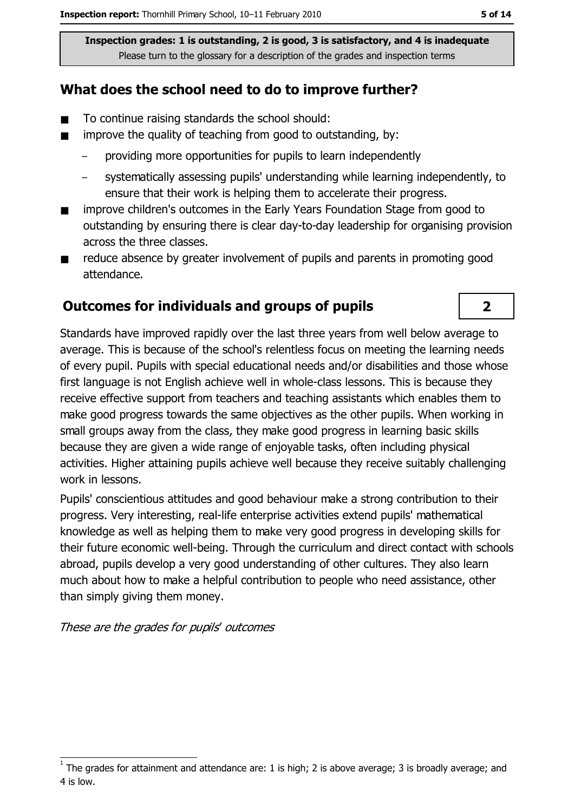### What does the school need to do to improve further?

- $\blacksquare$ To continue raising standards the school should:
- improve the quality of teaching from good to outstanding, by:  $\blacksquare$ 
	- providing more opportunities for pupils to learn independently
	- systematically assessing pupils' understanding while learning independently, to ensure that their work is helping them to accelerate their progress.
- improve children's outcomes in the Early Years Foundation Stage from good to  $\blacksquare$ outstanding by ensuring there is clear day-to-day leadership for organising provision across the three classes.
- reduce absence by greater involvement of pupils and parents in promoting good  $\blacksquare$ attendance.

#### **Outcomes for individuals and groups of pupils**

Standards have improved rapidly over the last three years from well below average to average. This is because of the school's relentless focus on meeting the learning needs of every pupil. Pupils with special educational needs and/or disabilities and those whose first language is not English achieve well in whole-class lessons. This is because they receive effective support from teachers and teaching assistants which enables them to make good progress towards the same objectives as the other pupils. When working in small groups away from the class, they make good progress in learning basic skills because they are given a wide range of enjoyable tasks, often including physical activities. Higher attaining pupils achieve well because they receive suitably challenging work in lessons.

Pupils' conscientious attitudes and good behaviour make a strong contribution to their progress. Very interesting, real-life enterprise activities extend pupils' mathematical knowledge as well as helping them to make very good progress in developing skills for their future economic well-being. Through the curriculum and direct contact with schools abroad, pupils develop a very good understanding of other cultures. They also learn much about how to make a helpful contribution to people who need assistance, other than simply giving them money.

These are the grades for pupils' outcomes

 $\overline{\mathbf{2}}$ 

The grades for attainment and attendance are: 1 is high; 2 is above average; 3 is broadly average; and 4 is low.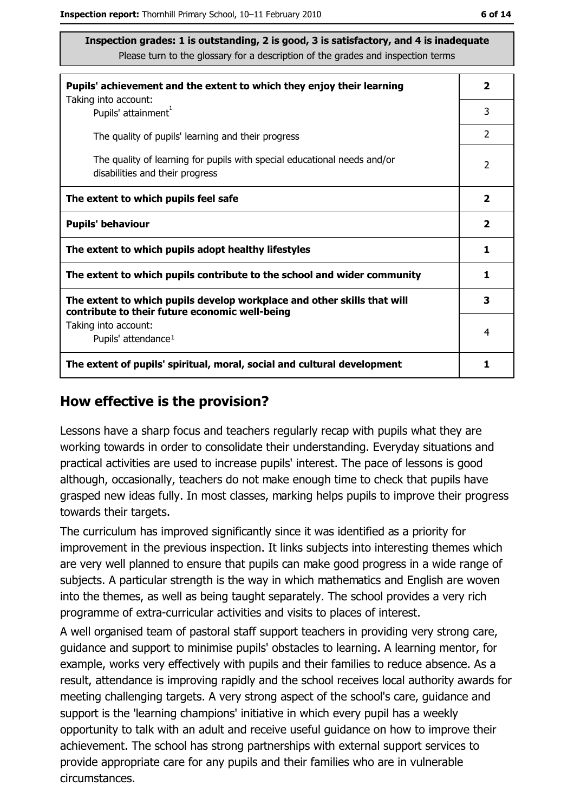| Pupils' achievement and the extent to which they enjoy their learning                                                     |                         |  |
|---------------------------------------------------------------------------------------------------------------------------|-------------------------|--|
| Taking into account:<br>Pupils' attainment <sup>1</sup>                                                                   | 3                       |  |
| The quality of pupils' learning and their progress                                                                        | $\mathcal{P}$           |  |
| The quality of learning for pupils with special educational needs and/or<br>disabilities and their progress               |                         |  |
| The extent to which pupils feel safe                                                                                      | $\overline{\mathbf{2}}$ |  |
| <b>Pupils' behaviour</b>                                                                                                  | $\mathbf{2}$            |  |
| The extent to which pupils adopt healthy lifestyles                                                                       |                         |  |
| The extent to which pupils contribute to the school and wider community                                                   |                         |  |
| The extent to which pupils develop workplace and other skills that will<br>contribute to their future economic well-being |                         |  |
| Taking into account:<br>Pupils' attendance <sup>1</sup>                                                                   | 4                       |  |
| The extent of pupils' spiritual, moral, social and cultural development                                                   |                         |  |

#### How effective is the provision?

Lessons have a sharp focus and teachers regularly recap with pupils what they are working towards in order to consolidate their understanding. Everyday situations and practical activities are used to increase pupils' interest. The pace of lessons is good although, occasionally, teachers do not make enough time to check that pupils have grasped new ideas fully. In most classes, marking helps pupils to improve their progress towards their targets.

The curriculum has improved significantly since it was identified as a priority for improvement in the previous inspection. It links subjects into interesting themes which are very well planned to ensure that pupils can make good progress in a wide range of subjects. A particular strength is the way in which mathematics and English are woven into the themes, as well as being taught separately. The school provides a very rich programme of extra-curricular activities and visits to places of interest.

A well organised team of pastoral staff support teachers in providing very strong care, guidance and support to minimise pupils' obstacles to learning. A learning mentor, for example, works very effectively with pupils and their families to reduce absence. As a result, attendance is improving rapidly and the school receives local authority awards for meeting challenging targets. A very strong aspect of the school's care, guidance and support is the 'learning champions' initiative in which every pupil has a weekly opportunity to talk with an adult and receive useful quidance on how to improve their achievement. The school has strong partnerships with external support services to provide appropriate care for any pupils and their families who are in vulnerable circumstances.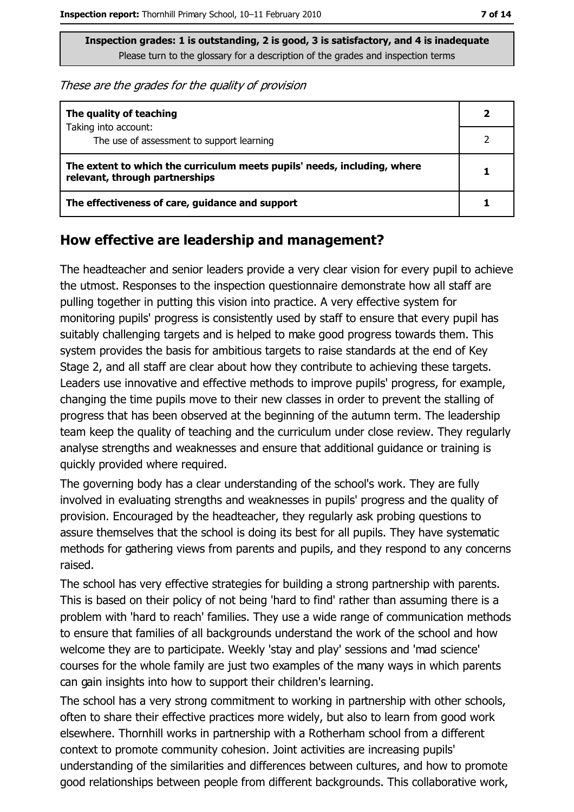These are the grades for the quality of provision

| The quality of teaching                                                                                    |  |
|------------------------------------------------------------------------------------------------------------|--|
| Taking into account:<br>The use of assessment to support learning                                          |  |
| The extent to which the curriculum meets pupils' needs, including, where<br>relevant, through partnerships |  |
| The effectiveness of care, guidance and support                                                            |  |

#### How effective are leadership and management?

The headteacher and senior leaders provide a very clear vision for every pupil to achieve the utmost. Responses to the inspection questionnaire demonstrate how all staff are pulling together in putting this vision into practice. A very effective system for monitoring pupils' progress is consistently used by staff to ensure that every pupil has suitably challenging targets and is helped to make good progress towards them. This system provides the basis for ambitious targets to raise standards at the end of Key Stage 2, and all staff are clear about how they contribute to achieving these targets. Leaders use innovative and effective methods to improve pupils' progress, for example, changing the time pupils move to their new classes in order to prevent the stalling of progress that has been observed at the beginning of the autumn term. The leadership team keep the quality of teaching and the curriculum under close review. They regularly analyse strengths and weaknesses and ensure that additional quidance or training is quickly provided where required.

The governing body has a clear understanding of the school's work. They are fully involved in evaluating strengths and weaknesses in pupils' progress and the quality of provision. Encouraged by the headteacher, they regularly ask probing questions to assure themselves that the school is doing its best for all pupils. They have systematic methods for gathering views from parents and pupils, and they respond to any concerns raised.

The school has very effective strategies for building a strong partnership with parents. This is based on their policy of not being 'hard to find' rather than assuming there is a problem with 'hard to reach' families. They use a wide range of communication methods to ensure that families of all backgrounds understand the work of the school and how welcome they are to participate. Weekly 'stay and play' sessions and 'mad science' courses for the whole family are just two examples of the many ways in which parents can gain insights into how to support their children's learning.

The school has a very strong commitment to working in partnership with other schools, often to share their effective practices more widely, but also to learn from good work elsewhere. Thornhill works in partnership with a Rotherham school from a different context to promote community cohesion. Joint activities are increasing pupils' understanding of the similarities and differences between cultures, and how to promote good relationships between people from different backgrounds. This collaborative work,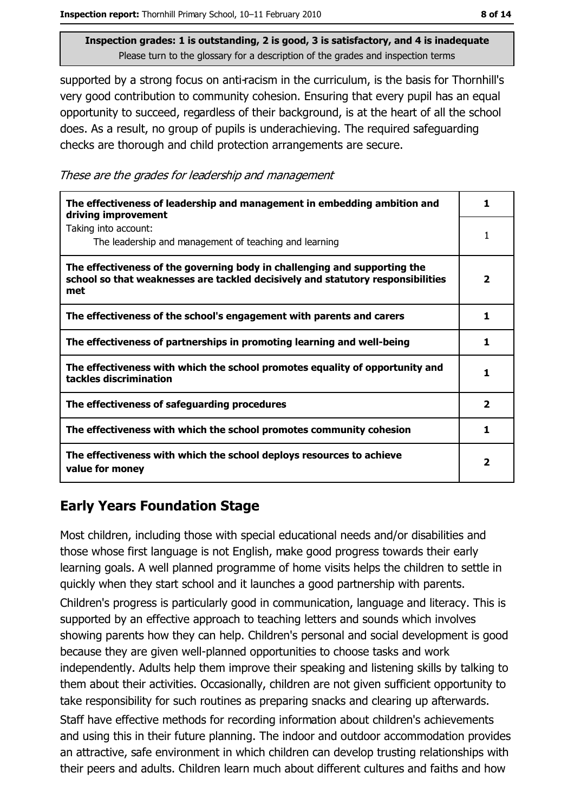supported by a strong focus on anti-racism in the curriculum, is the basis for Thornhill's very good contribution to community cohesion. Ensuring that every pupil has an equal opportunity to succeed, regardless of their background, is at the heart of all the school does. As a result, no group of pupils is underachieving. The required safeguarding checks are thorough and child protection arrangements are secure.

These are the grades for leadership and management

| The effectiveness of leadership and management in embedding ambition and<br>driving improvement                                                                     |                         |
|---------------------------------------------------------------------------------------------------------------------------------------------------------------------|-------------------------|
| Taking into account:<br>The leadership and management of teaching and learning                                                                                      |                         |
| The effectiveness of the governing body in challenging and supporting the<br>school so that weaknesses are tackled decisively and statutory responsibilities<br>met | $\overline{\mathbf{2}}$ |
| The effectiveness of the school's engagement with parents and carers                                                                                                | 1                       |
| The effectiveness of partnerships in promoting learning and well-being                                                                                              | ı                       |
| The effectiveness with which the school promotes equality of opportunity and<br>tackles discrimination                                                              |                         |
| The effectiveness of safeguarding procedures                                                                                                                        | $\overline{\mathbf{2}}$ |
| The effectiveness with which the school promotes community cohesion                                                                                                 | 1                       |
| The effectiveness with which the school deploys resources to achieve<br>value for money                                                                             | 2                       |

## **Early Years Foundation Stage**

Most children, including those with special educational needs and/or disabilities and those whose first language is not English, make good progress towards their early learning goals. A well planned programme of home visits helps the children to settle in quickly when they start school and it launches a good partnership with parents.

Children's progress is particularly good in communication, language and literacy. This is supported by an effective approach to teaching letters and sounds which involves showing parents how they can help. Children's personal and social development is good because they are given well-planned opportunities to choose tasks and work independently. Adults help them improve their speaking and listening skills by talking to them about their activities. Occasionally, children are not given sufficient opportunity to take responsibility for such routines as preparing snacks and clearing up afterwards. Staff have effective methods for recording information about children's achievements and using this in their future planning. The indoor and outdoor accommodation provides an attractive, safe environment in which children can develop trusting relationships with their peers and adults. Children learn much about different cultures and faiths and how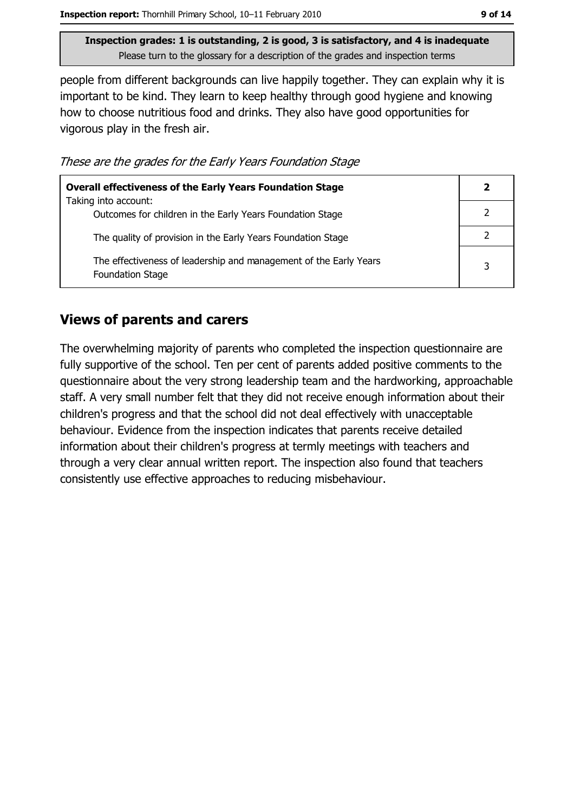people from different backgrounds can live happily together. They can explain why it is important to be kind. They learn to keep healthy through good hygiene and knowing how to choose nutritious food and drinks. They also have good opportunities for vigorous play in the fresh air.

These are the grades for the Early Years Foundation Stage

| <b>Overall effectiveness of the Early Years Foundation Stage</b>                             |   |  |
|----------------------------------------------------------------------------------------------|---|--|
| Taking into account:<br>Outcomes for children in the Early Years Foundation Stage            |   |  |
| The quality of provision in the Early Years Foundation Stage                                 |   |  |
| The effectiveness of leadership and management of the Early Years<br><b>Foundation Stage</b> | 3 |  |

#### **Views of parents and carers**

The overwhelming majority of parents who completed the inspection questionnaire are fully supportive of the school. Ten per cent of parents added positive comments to the questionnaire about the very strong leadership team and the hardworking, approachable staff. A very small number felt that they did not receive enough information about their children's progress and that the school did not deal effectively with unacceptable behaviour. Evidence from the inspection indicates that parents receive detailed information about their children's progress at termly meetings with teachers and through a very clear annual written report. The inspection also found that teachers consistently use effective approaches to reducing misbehaviour.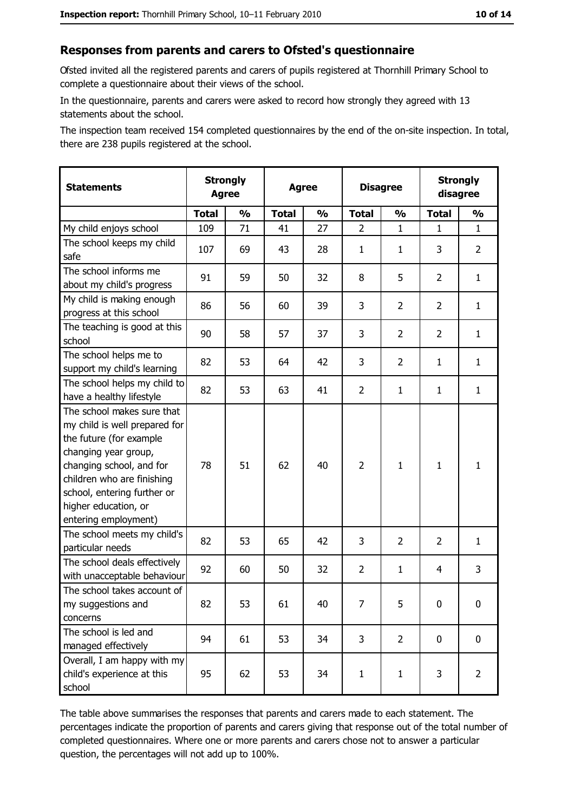#### Responses from parents and carers to Ofsted's questionnaire

Ofsted invited all the registered parents and carers of pupils registered at Thornhill Primary School to complete a questionnaire about their views of the school.

In the questionnaire, parents and carers were asked to record how strongly they agreed with 13 statements about the school.

The inspection team received 154 completed questionnaires by the end of the on-site inspection. In total, there are 238 pupils registered at the school.

| <b>Statements</b>                                                                                                                                                                                                                                       | <b>Strongly</b><br><b>Agree</b> |               | <b>Agree</b> |               | <b>Disagree</b> |                |                | <b>Strongly</b><br>disagree |
|---------------------------------------------------------------------------------------------------------------------------------------------------------------------------------------------------------------------------------------------------------|---------------------------------|---------------|--------------|---------------|-----------------|----------------|----------------|-----------------------------|
|                                                                                                                                                                                                                                                         | <b>Total</b>                    | $\frac{1}{2}$ | <b>Total</b> | $\frac{0}{0}$ | <b>Total</b>    | $\frac{1}{2}$  | <b>Total</b>   | $\frac{1}{2}$               |
| My child enjoys school                                                                                                                                                                                                                                  | 109                             | 71            | 41           | 27            | $\overline{2}$  | $\mathbf{1}$   | $\mathbf{1}$   | $\mathbf{1}$                |
| The school keeps my child<br>safe                                                                                                                                                                                                                       | 107                             | 69            | 43           | 28            | $\mathbf{1}$    | 1              | 3              | $\overline{2}$              |
| The school informs me<br>about my child's progress                                                                                                                                                                                                      | 91                              | 59            | 50           | 32            | 8               | 5              | $\overline{2}$ | $\mathbf{1}$                |
| My child is making enough<br>progress at this school                                                                                                                                                                                                    | 86                              | 56            | 60           | 39            | 3               | $\overline{2}$ | $\overline{2}$ | $\mathbf{1}$                |
| The teaching is good at this<br>school                                                                                                                                                                                                                  | 90                              | 58            | 57           | 37            | 3               | $\overline{2}$ | $\overline{2}$ | $\mathbf{1}$                |
| The school helps me to<br>support my child's learning                                                                                                                                                                                                   | 82                              | 53            | 64           | 42            | 3               | $\overline{2}$ | 1              | $\mathbf{1}$                |
| The school helps my child to<br>have a healthy lifestyle                                                                                                                                                                                                | 82                              | 53            | 63           | 41            | $\overline{2}$  | $\mathbf{1}$   | 1              | $\mathbf{1}$                |
| The school makes sure that<br>my child is well prepared for<br>the future (for example<br>changing year group,<br>changing school, and for<br>children who are finishing<br>school, entering further or<br>higher education, or<br>entering employment) | 78                              | 51            | 62           | 40            | $\overline{2}$  | $\mathbf{1}$   | 1              | $\mathbf{1}$                |
| The school meets my child's<br>particular needs                                                                                                                                                                                                         | 82                              | 53            | 65           | 42            | 3               | $\overline{2}$ | $\overline{2}$ | $\mathbf{1}$                |
| The school deals effectively<br>with unacceptable behaviour                                                                                                                                                                                             | 92                              | 60            | 50           | 32            | $\overline{2}$  | $\mathbf{1}$   | 4              | 3                           |
| The school takes account of<br>my suggestions and<br>concerns                                                                                                                                                                                           | 82                              | 53            | 61           | 40            | 7               | 5              | 0              | $\boldsymbol{0}$            |
| The school is led and<br>managed effectively                                                                                                                                                                                                            | 94                              | 61            | 53           | 34            | 3               | $\overline{2}$ | $\mathbf 0$    | 0                           |
| Overall, I am happy with my<br>child's experience at this<br>school                                                                                                                                                                                     | 95                              | 62            | 53           | 34            | $\mathbf{1}$    | $\mathbf{1}$   | 3              | $\overline{2}$              |

The table above summarises the responses that parents and carers made to each statement. The percentages indicate the proportion of parents and carers giving that response out of the total number of completed questionnaires. Where one or more parents and carers chose not to answer a particular question, the percentages will not add up to 100%.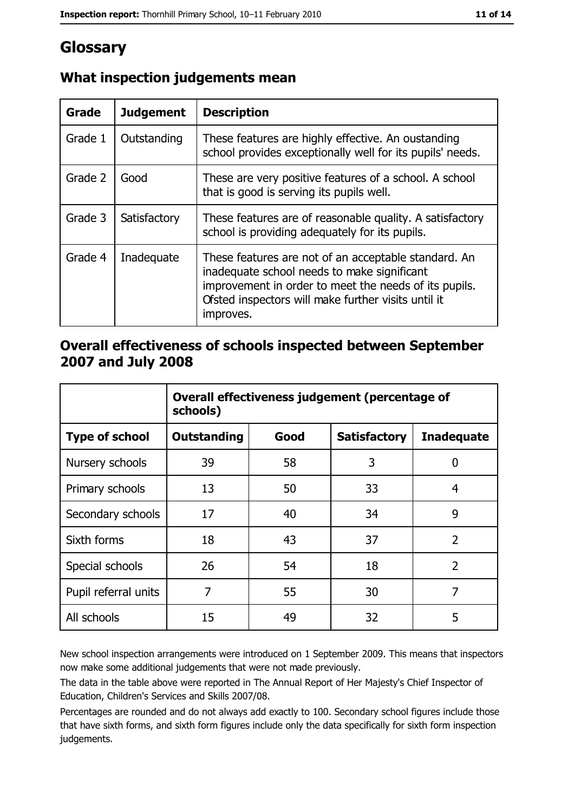# Glossary

| Grade   | <b>Judgement</b> | <b>Description</b>                                                                                                                                                                                                               |
|---------|------------------|----------------------------------------------------------------------------------------------------------------------------------------------------------------------------------------------------------------------------------|
| Grade 1 | Outstanding      | These features are highly effective. An oustanding<br>school provides exceptionally well for its pupils' needs.                                                                                                                  |
| Grade 2 | Good             | These are very positive features of a school. A school<br>that is good is serving its pupils well.                                                                                                                               |
| Grade 3 | Satisfactory     | These features are of reasonable quality. A satisfactory<br>school is providing adequately for its pupils.                                                                                                                       |
| Grade 4 | Inadequate       | These features are not of an acceptable standard. An<br>inadequate school needs to make significant<br>improvement in order to meet the needs of its pupils.<br>Ofsted inspectors will make further visits until it<br>improves. |

## What inspection judgements mean

### Overall effectiveness of schools inspected between September 2007 and July 2008

|                       | Overall effectiveness judgement (percentage of<br>schools) |      |                     |                   |
|-----------------------|------------------------------------------------------------|------|---------------------|-------------------|
| <b>Type of school</b> | <b>Outstanding</b>                                         | Good | <b>Satisfactory</b> | <b>Inadequate</b> |
| Nursery schools       | 39                                                         | 58   | 3                   | 0                 |
| Primary schools       | 13                                                         | 50   | 33                  | 4                 |
| Secondary schools     | 17                                                         | 40   | 34                  | 9                 |
| Sixth forms           | 18                                                         | 43   | 37                  | $\overline{2}$    |
| Special schools       | 26                                                         | 54   | 18                  | $\overline{2}$    |
| Pupil referral units  | 7                                                          | 55   | 30                  | 7                 |
| All schools           | 15                                                         | 49   | 32                  | 5                 |

New school inspection arrangements were introduced on 1 September 2009. This means that inspectors now make some additional judgements that were not made previously.

The data in the table above were reported in The Annual Report of Her Majesty's Chief Inspector of Education, Children's Services and Skills 2007/08.

Percentages are rounded and do not always add exactly to 100. Secondary school figures include those that have sixth forms, and sixth form figures include only the data specifically for sixth form inspection judgements.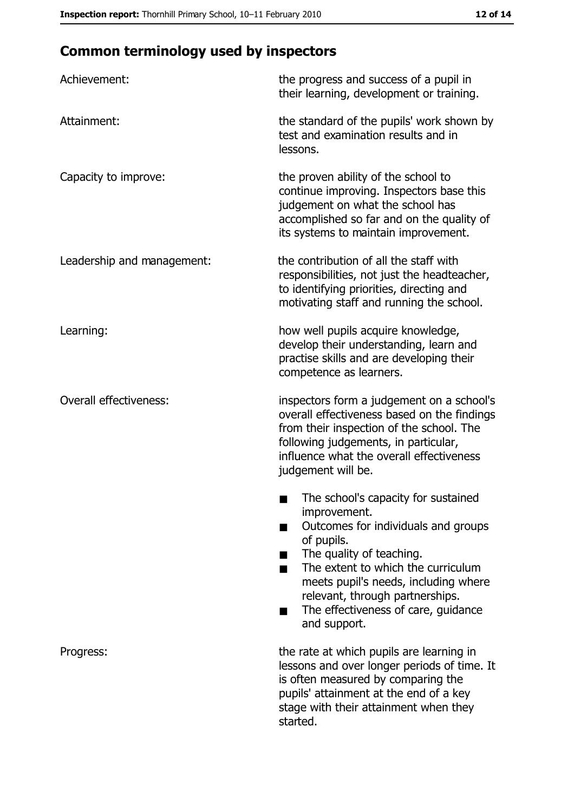# **Common terminology used by inspectors**

| Achievement:                  | the progress and success of a pupil in<br>their learning, development or training.                                                                                                                                                                                                                           |
|-------------------------------|--------------------------------------------------------------------------------------------------------------------------------------------------------------------------------------------------------------------------------------------------------------------------------------------------------------|
| Attainment:                   | the standard of the pupils' work shown by<br>test and examination results and in<br>lessons.                                                                                                                                                                                                                 |
| Capacity to improve:          | the proven ability of the school to<br>continue improving. Inspectors base this<br>judgement on what the school has<br>accomplished so far and on the quality of<br>its systems to maintain improvement.                                                                                                     |
| Leadership and management:    | the contribution of all the staff with<br>responsibilities, not just the headteacher,<br>to identifying priorities, directing and<br>motivating staff and running the school.                                                                                                                                |
| Learning:                     | how well pupils acquire knowledge,<br>develop their understanding, learn and<br>practise skills and are developing their<br>competence as learners.                                                                                                                                                          |
| <b>Overall effectiveness:</b> | inspectors form a judgement on a school's<br>overall effectiveness based on the findings<br>from their inspection of the school. The<br>following judgements, in particular,<br>influence what the overall effectiveness<br>judgement will be.                                                               |
|                               | The school's capacity for sustained<br>improvement.<br>Outcomes for individuals and groups<br>of pupils.<br>The quality of teaching.<br>The extent to which the curriculum<br>meets pupil's needs, including where<br>relevant, through partnerships.<br>The effectiveness of care, guidance<br>and support. |
| Progress:                     | the rate at which pupils are learning in<br>lessons and over longer periods of time. It<br>is often measured by comparing the<br>pupils' attainment at the end of a key<br>stage with their attainment when they<br>started.                                                                                 |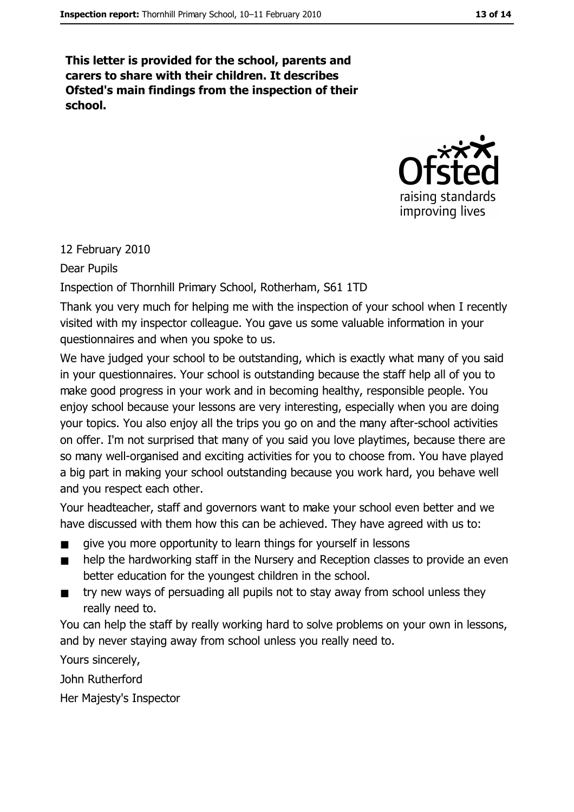This letter is provided for the school, parents and carers to share with their children. It describes Ofsted's main findings from the inspection of their school.



#### 12 February 2010

#### Dear Pupils

Inspection of Thornhill Primary School, Rotherham, S61 1TD

Thank you very much for helping me with the inspection of your school when I recently visited with my inspector colleague. You gave us some valuable information in your questionnaires and when you spoke to us.

We have judged your school to be outstanding, which is exactly what many of you said in your questionnaires. Your school is outstanding because the staff help all of you to make good progress in your work and in becoming healthy, responsible people. You enjoy school because your lessons are very interesting, especially when you are doing your topics. You also enjoy all the trips you go on and the many after-school activities on offer. I'm not surprised that many of you said you love playtimes, because there are so many well-organised and exciting activities for you to choose from. You have played a big part in making your school outstanding because you work hard, you behave well and you respect each other.

Your headteacher, staff and governors want to make your school even better and we have discussed with them how this can be achieved. They have agreed with us to:

- give you more opportunity to learn things for yourself in lessons  $\blacksquare$
- help the hardworking staff in the Nursery and Reception classes to provide an even  $\blacksquare$ better education for the youngest children in the school.
- try new ways of persuading all pupils not to stay away from school unless they  $\blacksquare$ really need to.

You can help the staff by really working hard to solve problems on your own in lessons, and by never staying away from school unless you really need to.

Yours sincerely.

John Rutherford

Her Majesty's Inspector